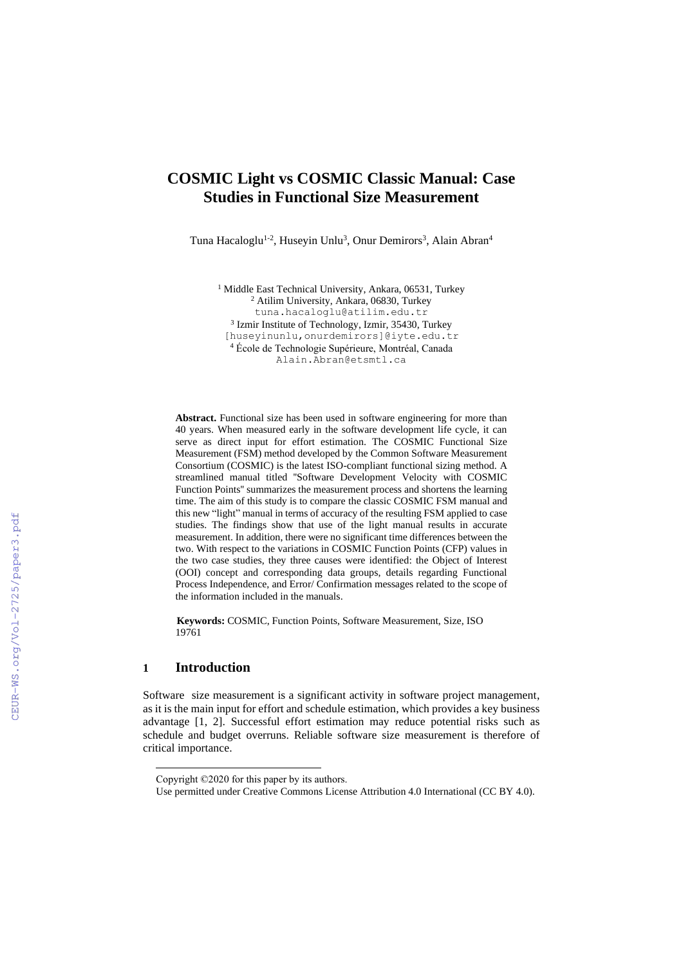# **COSMIC Light vs COSMIC Classic Manual: Case Studies in Functional Size Measurement**

Tuna Hacaloglu<sup>1-2</sup>, Huseyin Unlu<sup>3</sup>, Onur Demirors<sup>3</sup>, Alain Abran<sup>4</sup>

<sup>1</sup> Middle East Technical University, Ankara, 06531, Turkey <sup>2</sup> Atilim University, Ankara, 06830, Turkey tuna.hacaloglu@atilim.edu.tr 3 Izmir Institute of Technology, Izmir, 35430, Turkey [huseyinunlu,onurdemirors]@iyte.edu.tr <sup>4</sup> École de Technologie Supérieure, Montréal, Canada Alain.Abran@etsmtl.ca

Abstract. Functional size has been used in software engineering for more than 40 years. When measured early in the software development life cycle, it can serve as direct input for effort estimation. The COSMIC Functional Size Measurement (FSM) method developed by the Common Software Measurement Consortium (COSMIC) is the latest ISO-compliant functional sizing method. A streamlined manual titled ''Software Development Velocity with COSMIC Function Points'' summarizes the measurement process and shortens the learning time. The aim of this study is to compare the classic COSMIC FSM manual and this new "light" manual in terms of accuracy of the resulting FSM applied to case studies. The findings show that use of the light manual results in accurate measurement. In addition, there were no significant time differences between the two. With respect to the variations in COSMIC Function Points (CFP) values in the two case studies, they three causes were identified: the Object of Interest (OOI) concept and corresponding data groups, details regarding Functional Process Independence, and Error/ Confirmation messages related to the scope of the information included in the manuals.

 **Keywords:** COSMIC, Function Points, Software Measurement, Size, ISO 19761

## **1 Introduction**

Software size measurement is a significant activity in software project management, as it is the main input for effort and schedule estimation, which provides a key business advantage [1, 2]. Successful effort estimation may reduce potential risks such as schedule and budget overruns. Reliable software size measurement is therefore of critical importance.

Copyright ©2020 for this paper by its authors.

Use permitted under Creative Commons License Attribution 4.0 International (CC BY 4.0).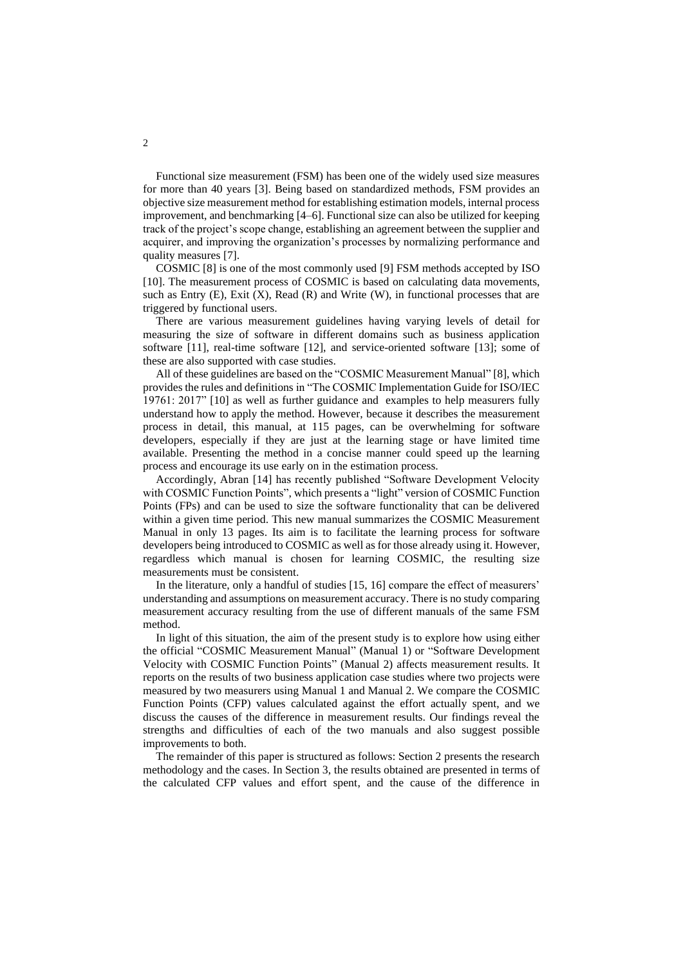Functional size measurement (FSM) has been one of the widely used size measures for more than 40 years [3]. Being based on standardized methods, FSM provides an objective size measurement method for establishing estimation models, internal process improvement, and benchmarking [4–6]. Functional size can also be utilized for keeping track of the project's scope change, establishing an agreement between the supplier and acquirer, and improving the organization's processes by normalizing performance and quality measures [7].

COSMIC [8] is one of the most commonly used [9] FSM methods accepted by ISO [10]. The measurement process of COSMIC is based on calculating data movements, such as Entry  $(E)$ , Exit  $(X)$ , Read  $(R)$  and Write  $(W)$ , in functional processes that are triggered by functional users.

There are various measurement guidelines having varying levels of detail for measuring the size of software in different domains such as business application software [11], real-time software [12], and service-oriented software [13]; some of these are also supported with case studies.

All of these guidelines are based on the "COSMIC Measurement Manual" [8], which provides the rules and definitions in "The COSMIC Implementation Guide for ISO/IEC 19761: 2017" [10] as well as further guidance and examples to help measurers fully understand how to apply the method. However, because it describes the measurement process in detail, this manual, at 115 pages, can be overwhelming for software developers, especially if they are just at the learning stage or have limited time available. Presenting the method in a concise manner could speed up the learning process and encourage its use early on in the estimation process.

Accordingly, Abran [14] has recently published "Software Development Velocity with COSMIC Function Points", which presents a "light" version of COSMIC Function Points (FPs) and can be used to size the software functionality that can be delivered within a given time period. This new manual summarizes the COSMIC Measurement Manual in only 13 pages. Its aim is to facilitate the learning process for software developers being introduced to COSMIC as well as for those already using it. However, regardless which manual is chosen for learning COSMIC, the resulting size measurements must be consistent.

In the literature, only a handful of studies [15, 16] compare the effect of measurers' understanding and assumptions on measurement accuracy. There is no study comparing measurement accuracy resulting from the use of different manuals of the same FSM method.

In light of this situation, the aim of the present study is to explore how using either the official "COSMIC Measurement Manual" (Manual 1) or "Software Development Velocity with COSMIC Function Points" (Manual 2) affects measurement results. It reports on the results of two business application case studies where two projects were measured by two measurers using Manual 1 and Manual 2. We compare the COSMIC Function Points (CFP) values calculated against the effort actually spent, and we discuss the causes of the difference in measurement results. Our findings reveal the strengths and difficulties of each of the two manuals and also suggest possible improvements to both.

The remainder of this paper is structured as follows: Section 2 presents the research methodology and the cases. In Section 3, the results obtained are presented in terms of the calculated CFP values and effort spent, and the cause of the difference in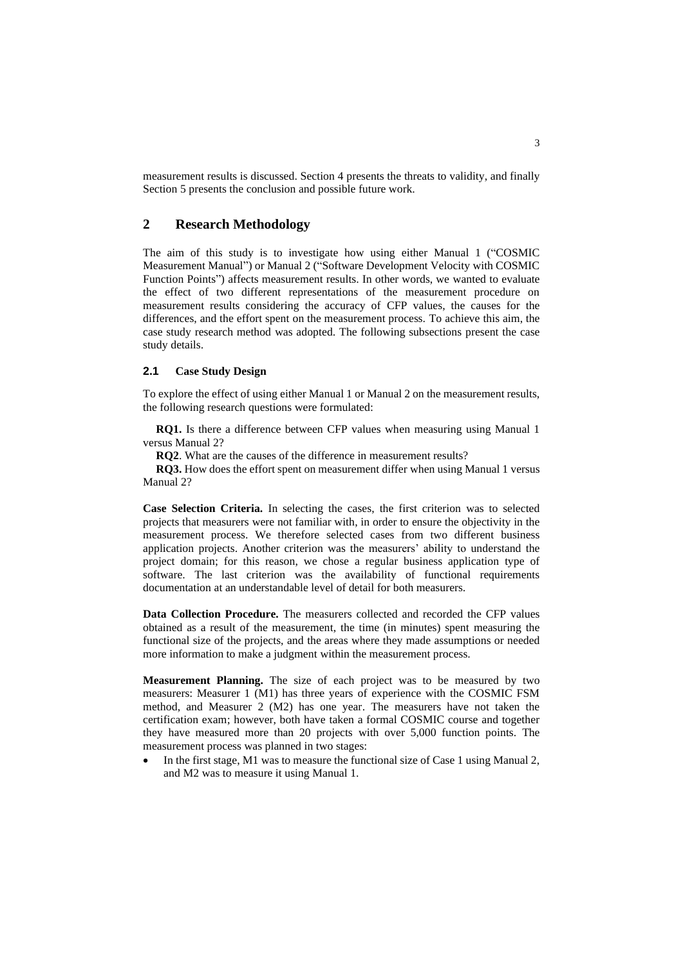measurement results is discussed. Section 4 presents the threats to validity, and finally Section 5 presents the conclusion and possible future work.

## **2 Research Methodology**

The aim of this study is to investigate how using either Manual 1 ("COSMIC Measurement Manual") or Manual 2 ("Software Development Velocity with COSMIC Function Points") affects measurement results. In other words, we wanted to evaluate the effect of two different representations of the measurement procedure on measurement results considering the accuracy of CFP values, the causes for the differences, and the effort spent on the measurement process. To achieve this aim, the case study research method was adopted. The following subsections present the case study details.

#### **2.1 Case Study Design**

To explore the effect of using either Manual 1 or Manual 2 on the measurement results, the following research questions were formulated:

**RQ1.** Is there a difference between CFP values when measuring using Manual 1 versus Manual 2?

**RQ2**. What are the causes of the difference in measurement results?

**RQ3.** How does the effort spent on measurement differ when using Manual 1 versus Manual 2?

**Case Selection Criteria.** In selecting the cases, the first criterion was to selected projects that measurers were not familiar with, in order to ensure the objectivity in the measurement process. We therefore selected cases from two different business application projects. Another criterion was the measurers' ability to understand the project domain; for this reason, we chose a regular business application type of software. The last criterion was the availability of functional requirements documentation at an understandable level of detail for both measurers.

**Data Collection Procedure.** The measurers collected and recorded the CFP values obtained as a result of the measurement, the time (in minutes) spent measuring the functional size of the projects, and the areas where they made assumptions or needed more information to make a judgment within the measurement process.

**Measurement Planning.** The size of each project was to be measured by two measurers: Measurer 1 (M1) has three years of experience with the COSMIC FSM method, and Measurer 2 (M2) has one year. The measurers have not taken the certification exam; however, both have taken a formal COSMIC course and together they have measured more than 20 projects with over 5,000 function points. The measurement process was planned in two stages:

In the first stage, M1 was to measure the functional size of Case 1 using Manual 2, and M2 was to measure it using Manual 1.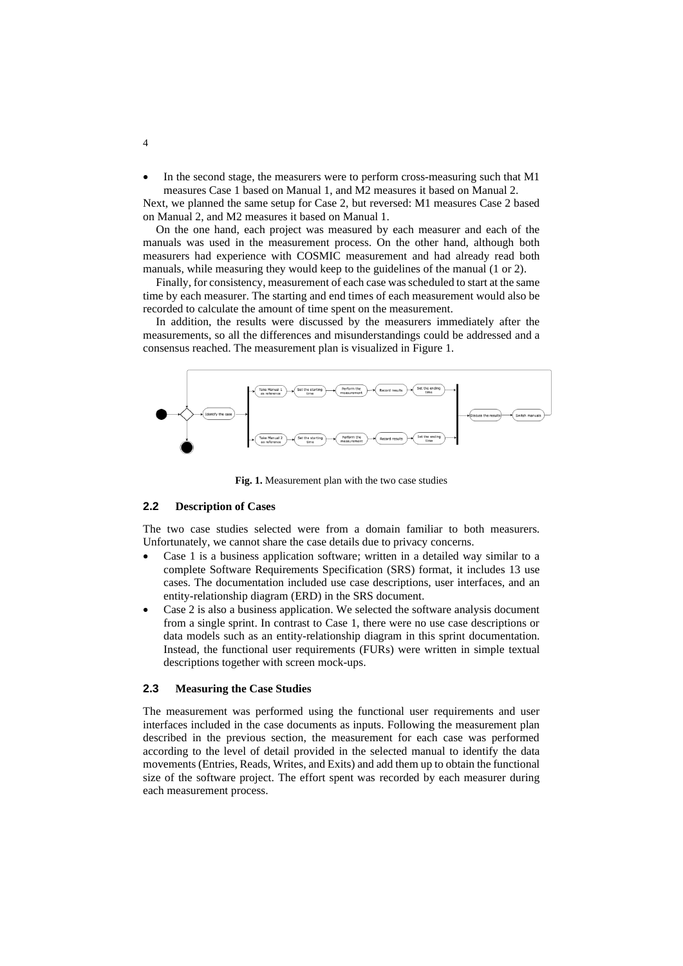In the second stage, the measurers were to perform cross-measuring such that M1 measures Case 1 based on Manual 1, and M2 measures it based on Manual 2.

Next, we planned the same setup for Case 2, but reversed: M1 measures Case 2 based on Manual 2, and M2 measures it based on Manual 1.

On the one hand, each project was measured by each measurer and each of the manuals was used in the measurement process. On the other hand, although both measurers had experience with COSMIC measurement and had already read both manuals, while measuring they would keep to the guidelines of the manual (1 or 2).

Finally, for consistency, measurement of each case wasscheduled to start at the same time by each measurer. The starting and end times of each measurement would also be recorded to calculate the amount of time spent on the measurement.

In addition, the results were discussed by the measurers immediately after the measurements, so all the differences and misunderstandings could be addressed and a consensus reached. The measurement plan is visualized in Figure 1.



**Fig. 1.** Measurement plan with the two case studies

#### **2.2 Description of Cases**

The two case studies selected were from a domain familiar to both measurers. Unfortunately, we cannot share the case details due to privacy concerns.

- Case 1 is a business application software; written in a detailed way similar to a complete Software Requirements Specification (SRS) format, it includes 13 use cases. The documentation included use case descriptions, user interfaces, and an entity-relationship diagram (ERD) in the SRS document.
- Case 2 is also a business application. We selected the software analysis document from a single sprint. In contrast to Case 1, there were no use case descriptions or data models such as an entity-relationship diagram in this sprint documentation. Instead, the functional user requirements (FURs) were written in simple textual descriptions together with screen mock-ups.

#### **2.3 Measuring the Case Studies**

The measurement was performed using the functional user requirements and user interfaces included in the case documents as inputs. Following the measurement plan described in the previous section, the measurement for each case was performed according to the level of detail provided in the selected manual to identify the data movements (Entries, Reads, Writes, and Exits) and add them up to obtain the functional size of the software project. The effort spent was recorded by each measurer during each measurement process.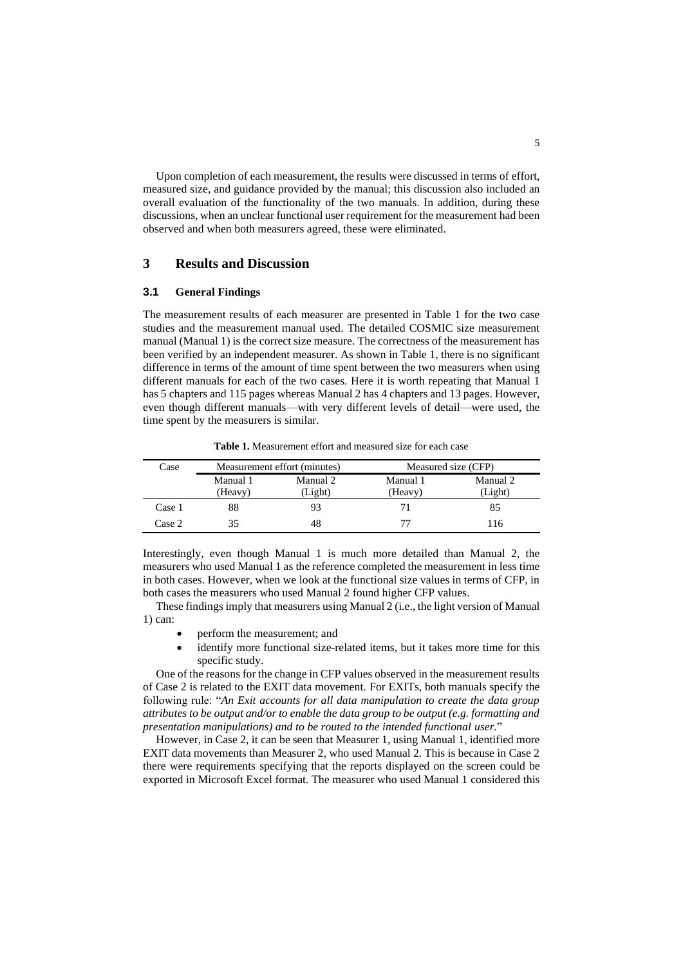Upon completion of each measurement, the results were discussed in terms of effort, measured size, and guidance provided by the manual; this discussion also included an overall evaluation of the functionality of the two manuals. In addition, during these discussions, when an unclear functional user requirement for the measurement had been observed and when both measurers agreed, these were eliminated.

## **3 Results and Discussion**

#### **3.1 General Findings**

The measurement results of each measurer are presented in Table 1 for the two case studies and the measurement manual used. The detailed COSMIC size measurement manual (Manual 1) is the correct size measure. The correctness of the measurement has been verified by an independent measurer. As shown in Table 1, there is no significant difference in terms of the amount of time spent between the two measurers when using different manuals for each of the two cases. Here it is worth repeating that Manual 1 has 5 chapters and 115 pages whereas Manual 2 has 4 chapters and 13 pages. However, even though different manuals—with very different levels of detail—were used, the time spent by the measurers is similar.

**Table 1.** Measurement effort and measured size for each case

| Case   | Measurement effort (minutes) |          | Measured size (CFP) |          |
|--------|------------------------------|----------|---------------------|----------|
|        | Manual 1                     | Manual 2 | Manual 1            | Manual 2 |
|        | (Heavy)                      | (Light)  | (Heavy)             | Light)   |
| Case 1 | 88                           | 93       |                     | 85       |
| Case 2 |                              | 48       | 77                  | 116      |

Interestingly, even though Manual 1 is much more detailed than Manual 2, the measurers who used Manual 1 as the reference completed the measurement in less time in both cases. However, when we look at the functional size values in terms of CFP, in both cases the measurers who used Manual 2 found higher CFP values.

These findings imply that measurers using Manual 2 (i.e., the light version of Manual 1) can:

- perform the measurement; and
- identify more functional size-related items, but it takes more time for this specific study.

One of the reasons for the change in CFP values observed in the measurement results of Case 2 is related to the EXIT data movement. For EXITs, both manuals specify the following rule: "*An Exit accounts for all data manipulation to create the data group attributes to be output and/or to enable the data group to be output (e.g. formatting and presentation manipulations) and to be routed to the intended functional user.*"

However, in Case 2, it can be seen that Measurer 1, using Manual 1, identified more EXIT data movements than Measurer 2, who used Manual 2. This is because in Case 2 there were requirements specifying that the reports displayed on the screen could be exported in Microsoft Excel format. The measurer who used Manual 1 considered this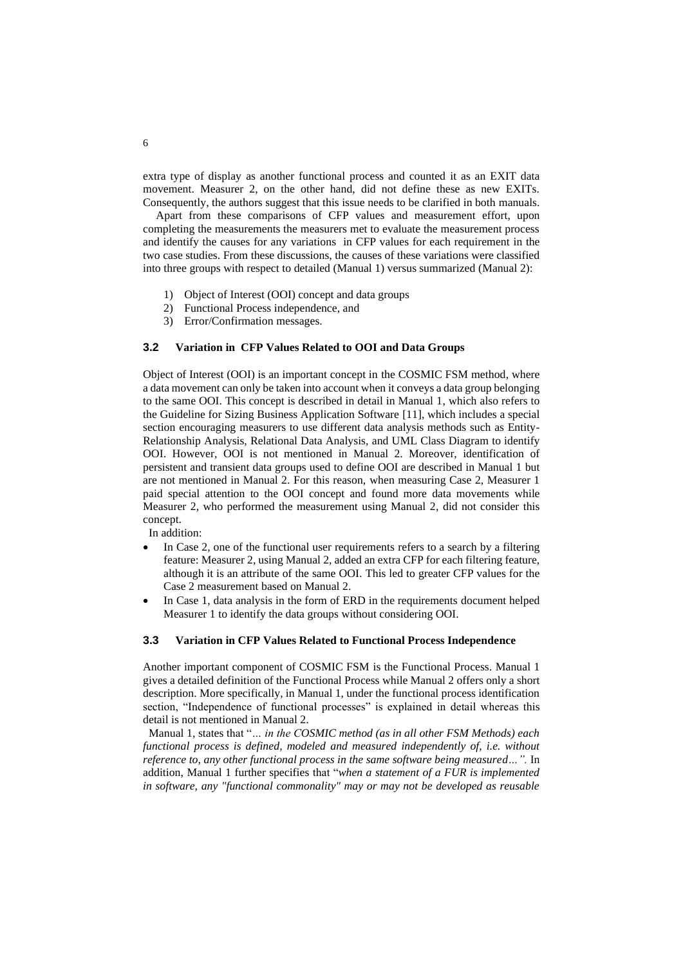extra type of display as another functional process and counted it as an EXIT data movement. Measurer 2, on the other hand, did not define these as new EXITs. Consequently, the authors suggest that this issue needs to be clarified in both manuals.

Apart from these comparisons of CFP values and measurement effort, upon completing the measurements the measurers met to evaluate the measurement process and identify the causes for any variations in CFP values for each requirement in the two case studies. From these discussions, the causes of these variations were classified into three groups with respect to detailed (Manual 1) versus summarized (Manual 2):

- 1) Object of Interest (OOI) concept and data groups
- 2) Functional Process independence, and
- 3) Error/Confirmation messages.

#### **3.2 Variation in CFP Values Related to OOI and Data Groups**

Object of Interest (OOI) is an important concept in the COSMIC FSM method, where a data movement can only be taken into account when it conveys a data group belonging to the same OOI. This concept is described in detail in Manual 1, which also refers to the Guideline for Sizing Business Application Software [11], which includes a special section encouraging measurers to use different data analysis methods such as Entity-Relationship Analysis, Relational Data Analysis, and UML Class Diagram to identify OOI. However, OOI is not mentioned in Manual 2. Moreover, identification of persistent and transient data groups used to define OOI are described in Manual 1 but are not mentioned in Manual 2. For this reason, when measuring Case 2, Measurer 1 paid special attention to the OOI concept and found more data movements while Measurer 2, who performed the measurement using Manual 2, did not consider this concept.

In addition:

- In Case 2, one of the functional user requirements refers to a search by a filtering feature: Measurer 2, using Manual 2, added an extra CFP for each filtering feature, although it is an attribute of the same OOI. This led to greater CFP values for the Case 2 measurement based on Manual 2.
- In Case 1, data analysis in the form of ERD in the requirements document helped Measurer 1 to identify the data groups without considering OOI.

#### **3.3 Variation in CFP Values Related to Functional Process Independence**

Another important component of COSMIC FSM is the Functional Process. Manual 1 gives a detailed definition of the Functional Process while Manual 2 offers only a short description. More specifically, in Manual 1, under the functional process identification section, "Independence of functional processes" is explained in detail whereas this detail is not mentioned in Manual 2.

 Manual 1, states that "*… in the COSMIC method (as in all other FSM Methods) each functional process is defined, modeled and measured independently of, i.e. without reference to, any other functional process in the same software being measured...".* In addition, Manual 1 further specifies that "*when a statement of a FUR is implemented in software, any "functional commonality" may or may not be developed as reusable*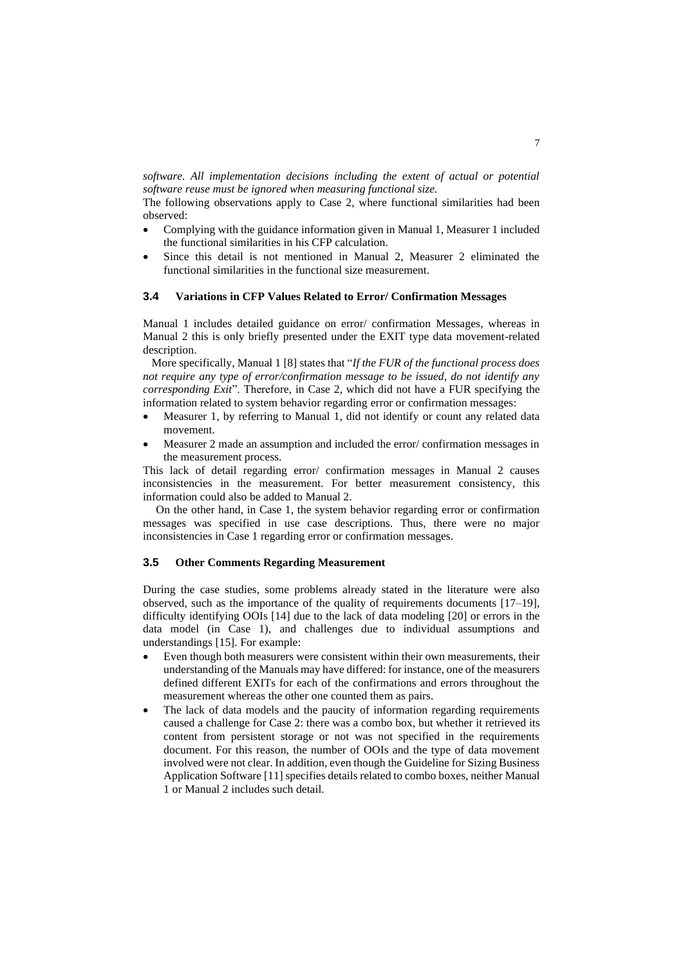*software. All implementation decisions including the extent of actual or potential software reuse must be ignored when measuring functional size.* 

The following observations apply to Case 2, where functional similarities had been observed:

- Complying with the guidance information given in Manual 1, Measurer 1 included the functional similarities in his CFP calculation.
- Since this detail is not mentioned in Manual 2, Measurer 2 eliminated the functional similarities in the functional size measurement.

#### **3.4 Variations in CFP Values Related to Error/ Confirmation Messages**

Manual 1 includes detailed guidance on error/ confirmation Messages, whereas in Manual 2 this is only briefly presented under the EXIT type data movement-related description.

 More specifically, Manual 1 [8] states that "*If the FUR of the functional process does not require any type of error/confirmation message to be issued, do not identify any corresponding Exit*". Therefore, in Case 2, which did not have a FUR specifying the information related to system behavior regarding error or confirmation messages:

- Measurer 1, by referring to Manual 1, did not identify or count any related data movement.
- Measurer 2 made an assumption and included the error/ confirmation messages in the measurement process.

This lack of detail regarding error/ confirmation messages in Manual 2 causes inconsistencies in the measurement. For better measurement consistency, this information could also be added to Manual 2.

On the other hand, in Case 1, the system behavior regarding error or confirmation messages was specified in use case descriptions. Thus, there were no major inconsistencies in Case 1 regarding error or confirmation messages.

#### **3.5 Other Comments Regarding Measurement**

During the case studies, some problems already stated in the literature were also observed, such as the importance of the quality of requirements documents [17–19], difficulty identifying OOIs [14] due to the lack of data modeling [20] or errors in the data model (in Case 1), and challenges due to individual assumptions and understandings [15]. For example:

- Even though both measurers were consistent within their own measurements, their understanding of the Manuals may have differed: for instance, one of the measurers defined different EXITs for each of the confirmations and errors throughout the measurement whereas the other one counted them as pairs.
- The lack of data models and the paucity of information regarding requirements caused a challenge for Case 2: there was a combo box, but whether it retrieved its content from persistent storage or not was not specified in the requirements document. For this reason, the number of OOIs and the type of data movement involved were not clear. In addition, even though the Guideline for Sizing Business Application Softwar[e \[11\]](https://www.zotero.org/google-docs/?tUNrYo) specifies details related to combo boxes, neither Manual 1 or Manual 2 includes such detail.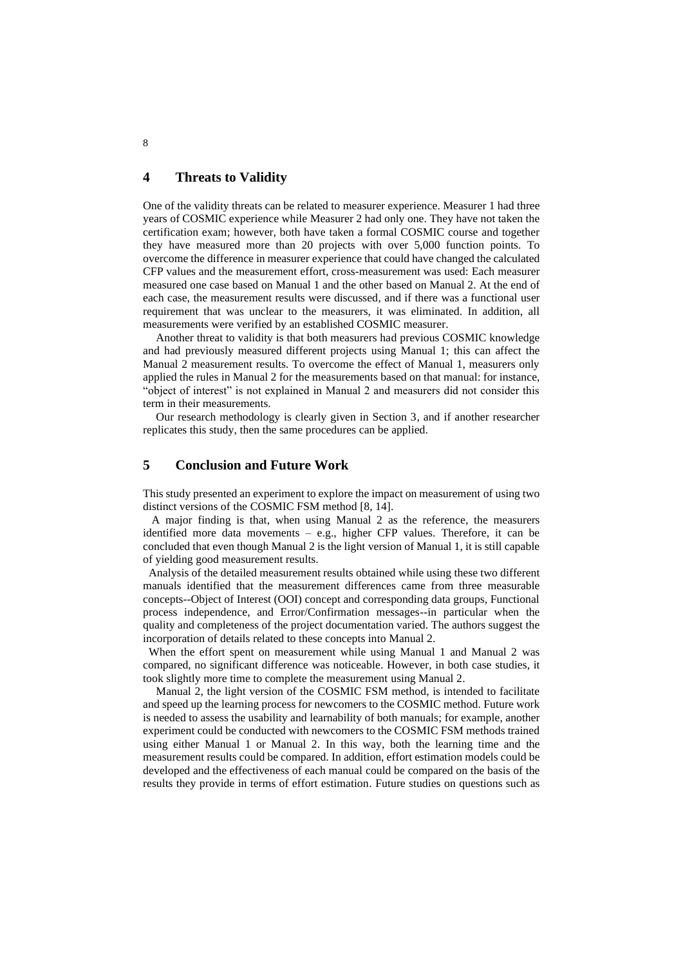## **4 Threats to Validity**

One of the validity threats can be related to measurer experience. Measurer 1 had three years of COSMIC experience while Measurer 2 had only one. They have not taken the certification exam; however, both have taken a formal COSMIC course and together they have measured more than 20 projects with over 5,000 function points. To overcome the difference in measurer experience that could have changed the calculated CFP values and the measurement effort, cross-measurement was used: Each measurer measured one case based on Manual 1 and the other based on Manual 2. At the end of each case, the measurement results were discussed, and if there was a functional user requirement that was unclear to the measurers, it was eliminated. In addition, all measurements were verified by an established COSMIC measurer.

Another threat to validity is that both measurers had previous COSMIC knowledge and had previously measured different projects using Manual 1; this can affect the Manual 2 measurement results. To overcome the effect of Manual 1, measurers only applied the rules in Manual 2 for the measurements based on that manual: for instance, "object of interest" is not explained in Manual 2 and measurers did not consider this term in their measurements.

Our research methodology is clearly given in Section 3, and if another researcher replicates this study, then the same procedures can be applied.

### **5 Conclusion and Future Work**

This study presented an experiment to explore the impact on measurement of using two distinct versions of the COSMIC FSM method [8, 14].

 A major finding is that, when using Manual 2 as the reference, the measurers identified more data movements – e.g., higher CFP values. Therefore, it can be concluded that even though Manual 2 is the light version of Manual 1, it is still capable of yielding good measurement results.

 Analysis of the detailed measurement results obtained while using these two different manuals identified that the measurement differences came from three measurable concepts--Object of Interest (OOI) concept and corresponding data groups, Functional process independence, and Error/Confirmation messages--in particular when the quality and completeness of the project documentation varied. The authors suggest the incorporation of details related to these concepts into Manual 2.

 When the effort spent on measurement while using Manual 1 and Manual 2 was compared, no significant difference was noticeable. However, in both case studies, it took slightly more time to complete the measurement using Manual 2.

Manual 2, the light version of the COSMIC FSM method, is intended to facilitate and speed up the learning process for newcomers to the COSMIC method. Future work is needed to assess the usability and learnability of both manuals; for example, another experiment could be conducted with newcomers to the COSMIC FSM methods trained using either Manual 1 or Manual 2. In this way, both the learning time and the measurement results could be compared. In addition, effort estimation models could be developed and the effectiveness of each manual could be compared on the basis of the results they provide in terms of effort estimation. Future studies on questions such as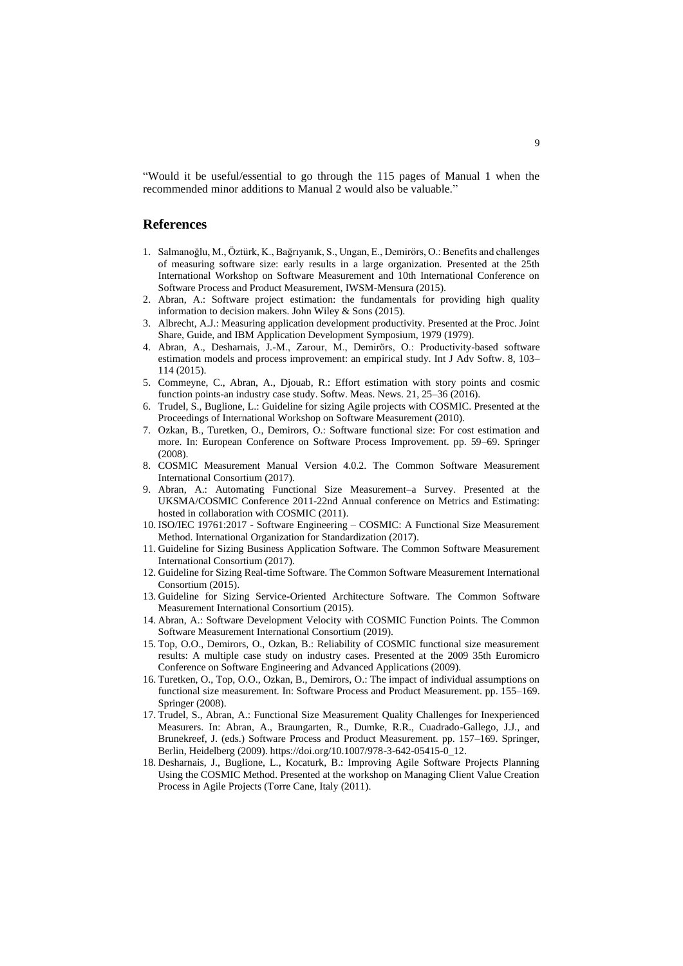"Would it be useful/essential to go through the 115 pages of Manual 1 when the recommended minor additions to Manual 2 would also be valuable."

## **References**

- 1. Salmanoğlu, M., Öztürk, K., Bağrıyanık, S., Ungan, E., Demirörs, O.: Benefits and challenges of measuring software size: early results in a large organization. Presented at the 25th International Workshop on Software Measurement and 10th International Conference on Software Process and Product Measurement, IWSM-Mensura (2015).
- 2. Abran, A.: Software project estimation: the fundamentals for providing high quality information to decision makers. John Wiley & Sons (2015).
- 3. Albrecht, A.J.: Measuring application development productivity. Presented at the Proc. Joint Share, Guide, and IBM Application Development Symposium, 1979 (1979).
- 4. Abran, A., Desharnais, J.-M., Zarour, M., Demirörs, O.: Productivity-based software estimation models and process improvement: an empirical study. Int J Adv Softw. 8, 103– 114 (2015).
- 5. Commeyne, C., Abran, A., Djouab, R.: Effort estimation with story points and cosmic function points-an industry case study. Softw. Meas. News. 21, 25–36 (2016).
- 6. Trudel, S., Buglione, L.: Guideline for sizing Agile projects with COSMIC. Presented at the Proceedings of International Workshop on Software Measurement (2010).
- 7. Ozkan, B., Turetken, O., Demirors, O.: Software functional size: For cost estimation and more. In: European Conference on Software Process Improvement. pp. 59–69. Springer (2008).
- 8. COSMIC Measurement Manual Version 4.0.2. The Common Software Measurement International Consortium (2017).
- 9. Abran, A.: Automating Functional Size Measurement–a Survey. Presented at the UKSMA/COSMIC Conference 2011-22nd Annual conference on Metrics and Estimating: hosted in collaboration with COSMIC (2011).
- 10. ISO/IEC 19761:2017 Software Engineering COSMIC: A Functional Size Measurement Method. International Organization for Standardization (2017).
- 11. Guideline for Sizing Business Application Software. The Common Software Measurement International Consortium (2017).
- 12. Guideline for Sizing Real-time Software. The Common Software Measurement International Consortium (2015).
- 13. Guideline for Sizing Service-Oriented Architecture Software. The Common Software Measurement International Consortium (2015).
- 14. Abran, A.: Software Development Velocity with COSMIC Function Points. The Common Software Measurement International Consortium (2019).
- 15. Top, O.O., Demirors, O., Ozkan, B.: Reliability of COSMIC functional size measurement results: A multiple case study on industry cases. Presented at the 2009 35th Euromicro Conference on Software Engineering and Advanced Applications (2009).
- 16. Turetken, O., Top, O.O., Ozkan, B., Demirors, O.: The impact of individual assumptions on functional size measurement. In: Software Process and Product Measurement. pp. 155–169. Springer (2008).
- 17. Trudel, S., Abran, A.: Functional Size Measurement Quality Challenges for Inexperienced Measurers. In: Abran, A., Braungarten, R., Dumke, R.R., Cuadrado-Gallego, J.J., and Brunekreef, J. (eds.) Software Process and Product Measurement. pp. 157–169. Springer, Berlin, Heidelberg (2009). https://doi.org/10.1007/978-3-642-05415-0\_12.
- 18. Desharnais, J., Buglione, L., Kocaturk, B.: Improving Agile Software Projects Planning Using the COSMIC Method. Presented at the workshop on Managing Client Value Creation Process in Agile Projects (Torre Cane, Italy (2011).